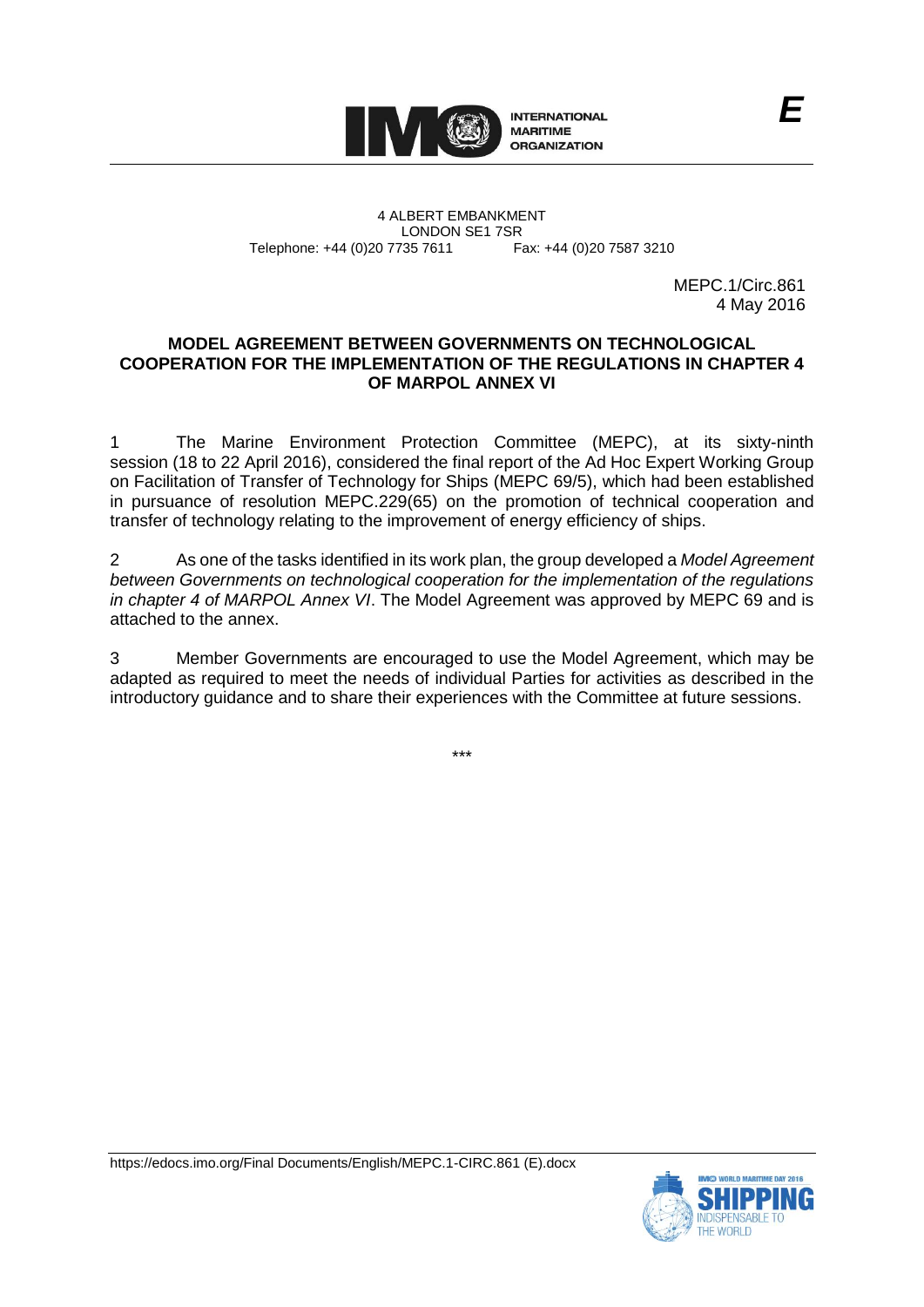

4 ALBERT EMBANKMENT Telephone: +44 (0)20 7735 7611

LONDON SE1 7SR<br>735 7611 Fax: +44 (0)20 7587 3210

MEPC.1/Circ.861 4 May 2016

## **MODEL AGREEMENT BETWEEN GOVERNMENTS ON TECHNOLOGICAL COOPERATION FOR THE IMPLEMENTATION OF THE REGULATIONS IN CHAPTER 4 OF MARPOL ANNEX VI**

1 The Marine Environment Protection Committee (MEPC), at its sixty-ninth session (18 to 22 April 2016), considered the final report of the Ad Hoc Expert Working Group on Facilitation of Transfer of Technology for Ships (MEPC 69/5), which had been established in pursuance of resolution MEPC.229(65) on the promotion of technical cooperation and transfer of technology relating to the improvement of energy efficiency of ships.

2 As one of the tasks identified in its work plan, the group developed a *Model Agreement between Governments on technological cooperation for the implementation of the regulations in chapter 4 of MARPOL Annex VI*. The Model Agreement was approved by MEPC 69 and is attached to the annex.

3 Member Governments are encouraged to use the Model Agreement, which may be adapted as required to meet the needs of individual Parties for activities as described in the introductory guidance and to share their experiences with the Committee at future sessions.

\*\*\*



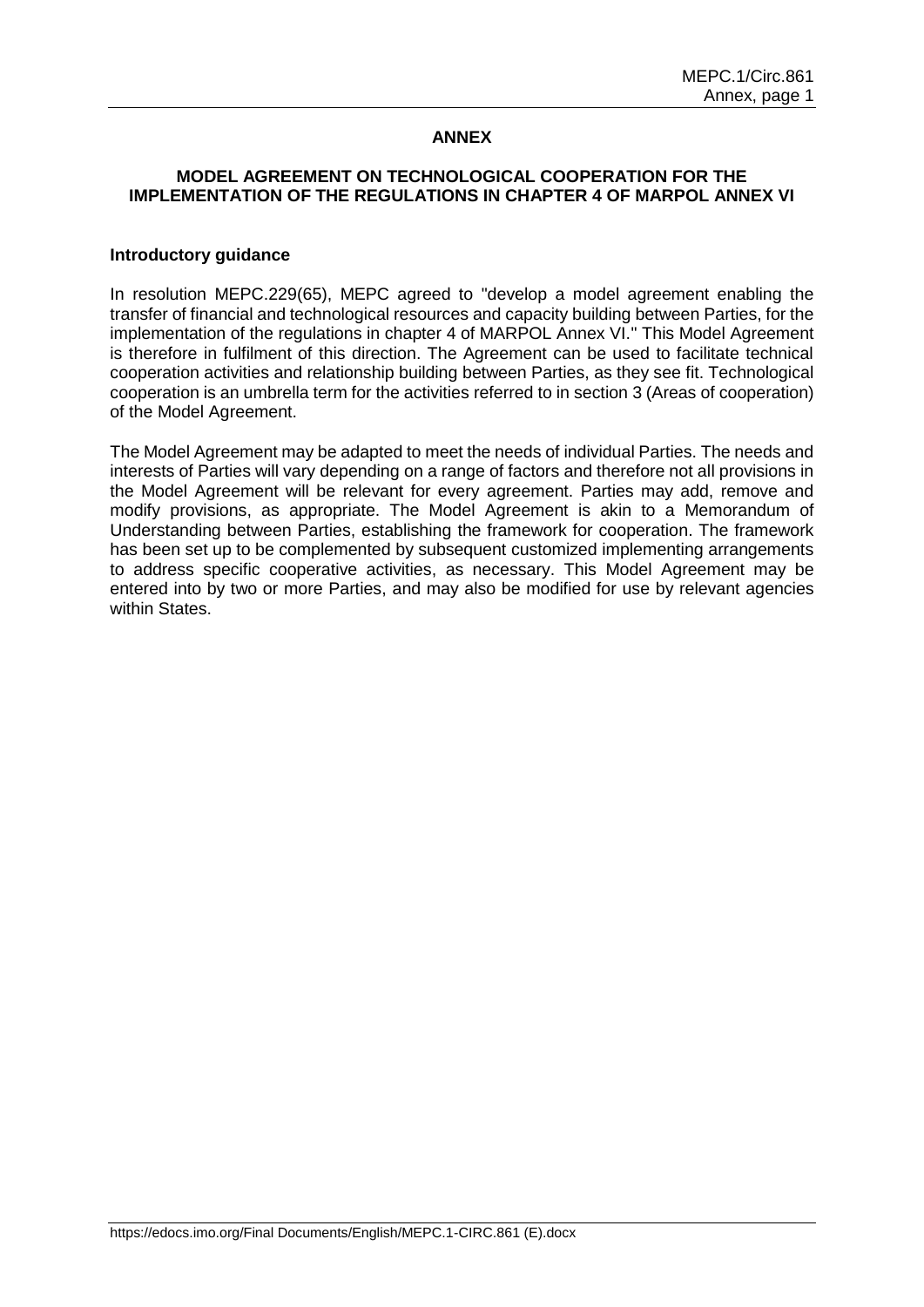# **ANNEX**

## **MODEL AGREEMENT ON TECHNOLOGICAL COOPERATION FOR THE IMPLEMENTATION OF THE REGULATIONS IN CHAPTER 4 OF MARPOL ANNEX VI**

#### **Introductory guidance**

In resolution MEPC.229(65), MEPC agreed to "develop a model agreement enabling the transfer of financial and technological resources and capacity building between Parties, for the implementation of the regulations in chapter 4 of MARPOL Annex VI." This Model Agreement is therefore in fulfilment of this direction. The Agreement can be used to facilitate technical cooperation activities and relationship building between Parties, as they see fit. Technological cooperation is an umbrella term for the activities referred to in section 3 (Areas of cooperation) of the Model Agreement.

The Model Agreement may be adapted to meet the needs of individual Parties. The needs and interests of Parties will vary depending on a range of factors and therefore not all provisions in the Model Agreement will be relevant for every agreement. Parties may add, remove and modify provisions, as appropriate. The Model Agreement is akin to a Memorandum of Understanding between Parties, establishing the framework for cooperation. The framework has been set up to be complemented by subsequent customized implementing arrangements to address specific cooperative activities, as necessary. This Model Agreement may be entered into by two or more Parties, and may also be modified for use by relevant agencies within States.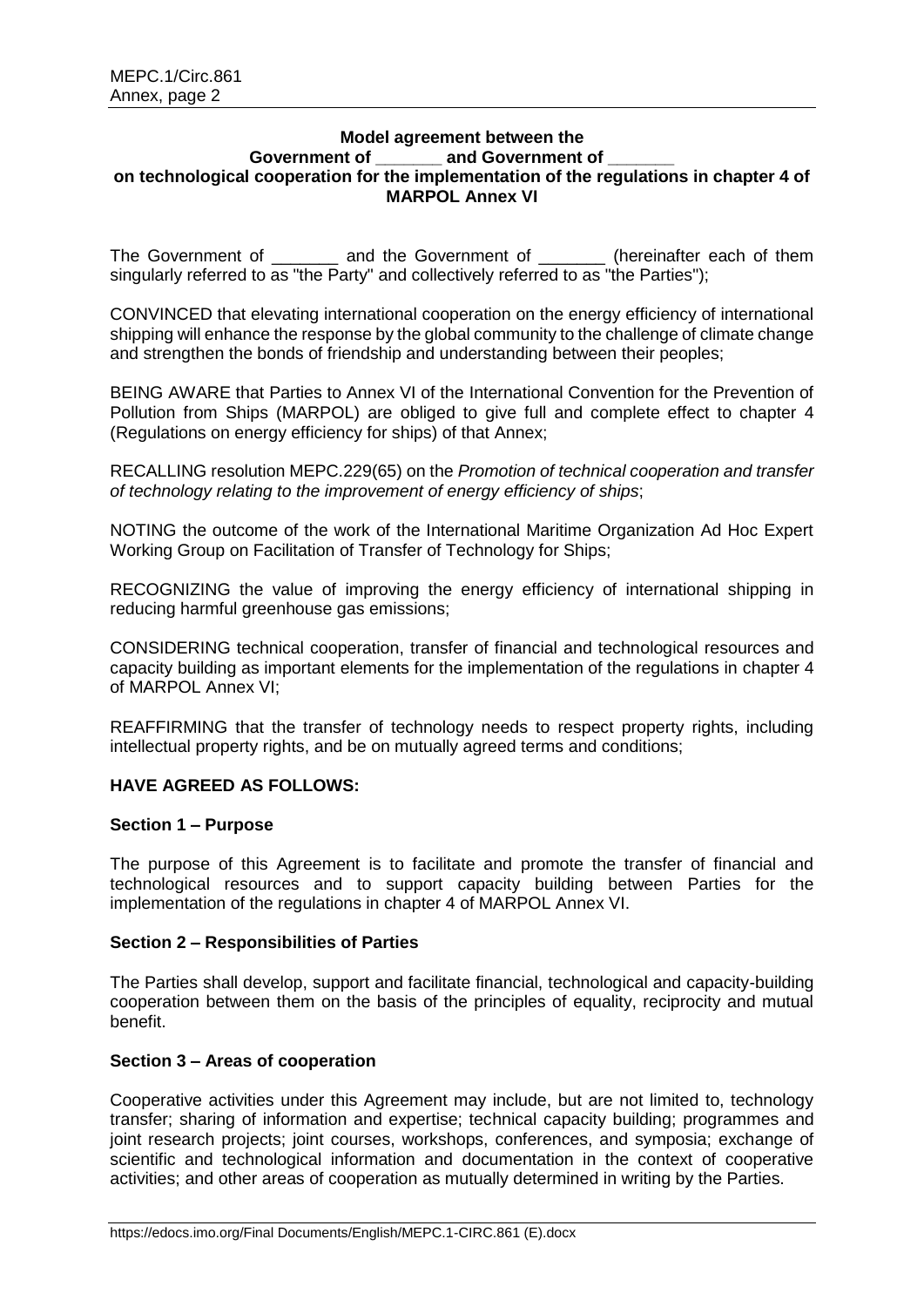#### **Model agreement between the** Government of **and Government of on technological cooperation for the implementation of the regulations in chapter 4 of MARPOL Annex VI**

The Government of and the Government of  $\qquad$  (hereinafter each of them singularly referred to as "the Party" and collectively referred to as "the Parties");

CONVINCED that elevating international cooperation on the energy efficiency of international shipping will enhance the response by the global community to the challenge of climate change and strengthen the bonds of friendship and understanding between their peoples;

BEING AWARE that Parties to Annex VI of the International Convention for the Prevention of Pollution from Ships (MARPOL) are obliged to give full and complete effect to chapter 4 (Regulations on energy efficiency for ships) of that Annex;

RECALLING resolution MEPC.229(65) on the *Promotion of technical cooperation and transfer of technology relating to the improvement of energy efficiency of ships*;

NOTING the outcome of the work of the International Maritime Organization Ad Hoc Expert Working Group on Facilitation of Transfer of Technology for Ships;

RECOGNIZING the value of improving the energy efficiency of international shipping in reducing harmful greenhouse gas emissions;

CONSIDERING technical cooperation, transfer of financial and technological resources and capacity building as important elements for the implementation of the regulations in chapter 4 of MARPOL Annex VI;

REAFFIRMING that the transfer of technology needs to respect property rights, including intellectual property rights, and be on mutually agreed terms and conditions;

# **HAVE AGREED AS FOLLOWS:**

#### **Section 1 – Purpose**

The purpose of this Agreement is to facilitate and promote the transfer of financial and technological resources and to support capacity building between Parties for the implementation of the regulations in chapter 4 of MARPOL Annex VI.

## **Section 2 – Responsibilities of Parties**

The Parties shall develop, support and facilitate financial, technological and capacity-building cooperation between them on the basis of the principles of equality, reciprocity and mutual benefit.

# **Section 3 – Areas of cooperation**

Cooperative activities under this Agreement may include, but are not limited to, technology transfer; sharing of information and expertise; technical capacity building; programmes and joint research projects; joint courses, workshops, conferences, and symposia; exchange of scientific and technological information and documentation in the context of cooperative activities; and other areas of cooperation as mutually determined in writing by the Parties.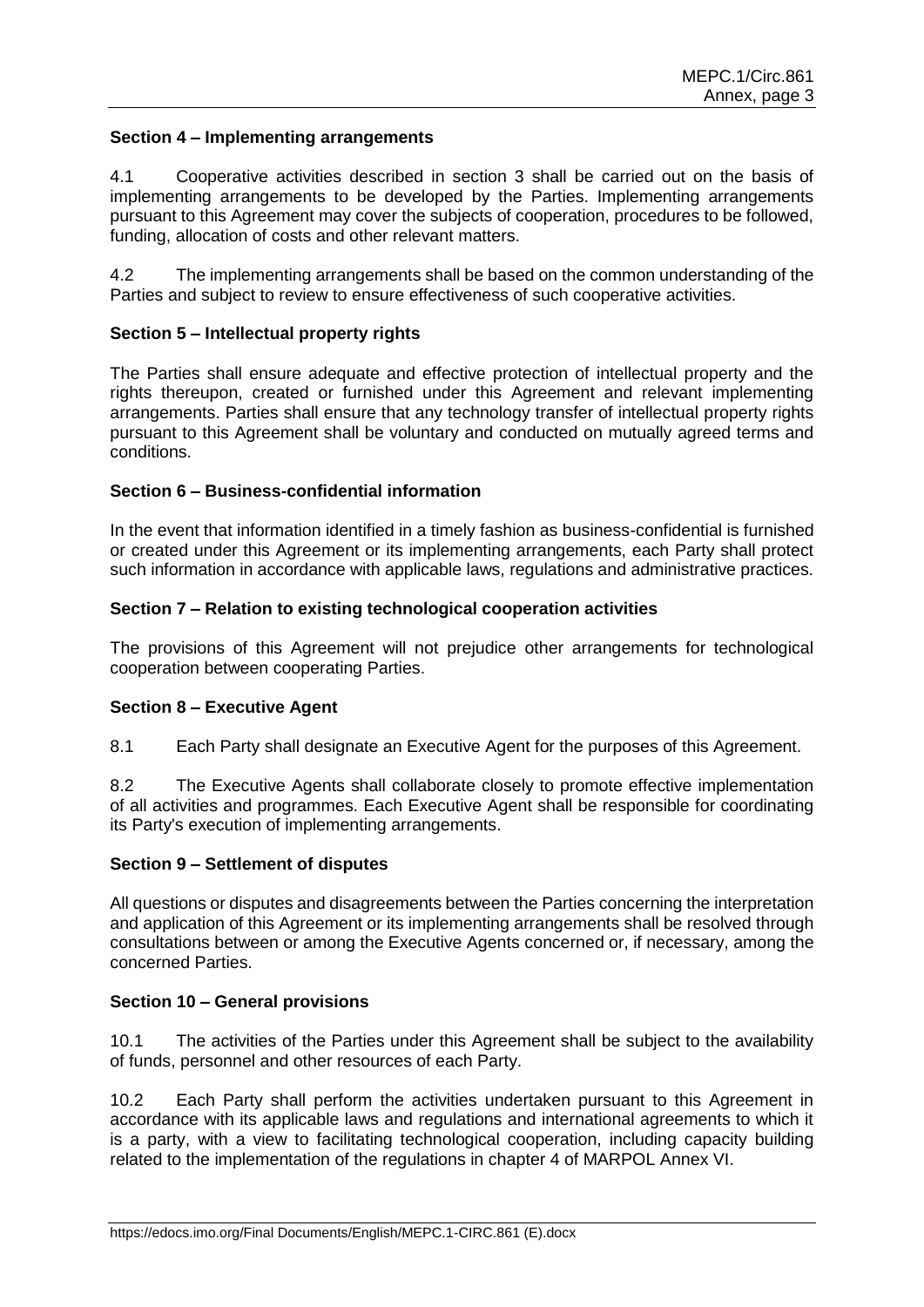## **Section 4 – Implementing arrangements**

4.1 Cooperative activities described in section 3 shall be carried out on the basis of implementing arrangements to be developed by the Parties. Implementing arrangements pursuant to this Agreement may cover the subjects of cooperation, procedures to be followed, funding, allocation of costs and other relevant matters.

4.2 The implementing arrangements shall be based on the common understanding of the Parties and subject to review to ensure effectiveness of such cooperative activities.

## **Section 5 – Intellectual property rights**

The Parties shall ensure adequate and effective protection of intellectual property and the rights thereupon, created or furnished under this Agreement and relevant implementing arrangements. Parties shall ensure that any technology transfer of intellectual property rights pursuant to this Agreement shall be voluntary and conducted on mutually agreed terms and conditions.

### **Section 6 – Business-confidential information**

In the event that information identified in a timely fashion as business-confidential is furnished or created under this Agreement or its implementing arrangements, each Party shall protect such information in accordance with applicable laws, regulations and administrative practices.

### **Section 7 – Relation to existing technological cooperation activities**

The provisions of this Agreement will not prejudice other arrangements for technological cooperation between cooperating Parties.

#### **Section 8 – Executive Agent**

8.1 Each Party shall designate an Executive Agent for the purposes of this Agreement.

8.2 The Executive Agents shall collaborate closely to promote effective implementation of all activities and programmes. Each Executive Agent shall be responsible for coordinating its Party's execution of implementing arrangements.

#### **Section 9 – Settlement of disputes**

All questions or disputes and disagreements between the Parties concerning the interpretation and application of this Agreement or its implementing arrangements shall be resolved through consultations between or among the Executive Agents concerned or, if necessary, among the concerned Parties.

#### **Section 10 – General provisions**

10.1 The activities of the Parties under this Agreement shall be subject to the availability of funds, personnel and other resources of each Party.

10.2 Each Party shall perform the activities undertaken pursuant to this Agreement in accordance with its applicable laws and regulations and international agreements to which it is a party, with a view to facilitating technological cooperation, including capacity building related to the implementation of the regulations in chapter 4 of MARPOL Annex VI.